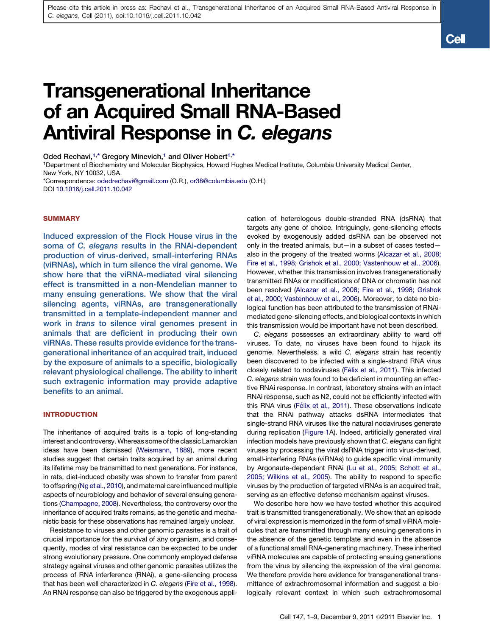**Cell** 

# Transgenerational Inheritance of an Acquired Small RNA-Based Antiviral Response in C. elegans

Oded Rechavi,<sup>1,\*</sup> Gregory Minevich,<sup>1</sup> and Oliver Hobert<sup>1,\*</sup>

1Department of Biochemistry and Molecular Biophysics, Howard Hughes Medical Institute, Columbia University Medical Center, New York, NY 10032, USA

\*Correspondence: [odedrechavi@gmail.com](mailto:odedrechavi@gmail.com) (O.R.), [or38@columbia.edu](mailto:or38@columbia.edu) (O.H.) DOI [10.1016/j.cell.2011.10.042](http://dx.doi.org/10.1016/j.cell.2011.10.042)

## **SUMMARY**

Induced expression of the Flock House virus in the soma of C. elegans results in the RNAi-dependent production of virus-derived, small-interfering RNAs (viRNAs), which in turn silence the viral genome. We show here that the viRNA-mediated viral silencing effect is transmitted in a non-Mendelian manner to many ensuing generations. We show that the viral silencing agents, viRNAs, are transgenerationally transmitted in a template-independent manner and work in trans to silence viral genomes present in animals that are deficient in producing their own viRNAs. These results provide evidence for the transgenerational inheritance of an acquired trait, induced by the exposure of animals to a specific, biologically relevant physiological challenge. The ability to inherit such extragenic information may provide adaptive benefits to an animal.

## INTRODUCTION

The inheritance of acquired traits is a topic of long-standing interest and controversy.Whereas some of the classic Lamarckian ideas have been dismissed ([Weismann, 1889\)](#page-8-0), more recent studies suggest that certain traits acquired by an animal during its lifetime may be transmitted to next generations. For instance, in rats, diet-induced obesity was shown to transfer from parent to offspring [\(Ng et al., 2010\)](#page-8-0), and maternal care influenced multiple aspects of neurobiology and behavior of several ensuing generations [\(Champagne, 2008\)](#page-7-0). Nevertheless, the controversy over the inheritance of acquired traits remains, as the genetic and mechanistic basis for these observations has remained largely unclear.

Resistance to viruses and other genomic parasites is a trait of crucial importance for the survival of any organism, and consequently, modes of viral resistance can be expected to be under strong evolutionary pressure. One commonly employed defense strategy against viruses and other genomic parasites utilizes the process of RNA interference (RNAi), a gene-silencing process that has been well characterized in *C. elegans* ([Fire et al., 1998\)](#page-7-0). An RNAi response can also be triggered by the exogenous application of heterologous double-stranded RNA (dsRNA) that targets any gene of choice. Intriguingly, gene-silencing effects evoked by exogenously added dsRNA can be observed not only in the treated animals, but—in a subset of cases tested also in the progeny of the treated worms ([Alcazar et al., 2008;](#page-7-0) [Fire et al., 1998; Grishok et al., 2000; Vastenhouw et al., 2006\)](#page-7-0). However, whether this transmission involves transgenerationally transmitted RNAs or modifications of DNA or chromatin has not been resolved [\(Alcazar et al., 2008; Fire et al., 1998; Grishok](#page-7-0) [et al., 2000; Vastenhouw et al., 2006](#page-7-0)). Moreover, to date no biological function has been attributed to the transmission of RNAimediated gene-silencing effects, and biological contexts in which this transmission would be important have not been described.

*C. elegans* possesses an extraordinary ability to ward off viruses. To date, no viruses have been found to hijack its genome. Nevertheless, a wild *C. elegans* strain has recently been discovered to be infected with a single-strand RNA virus closely related to nodaviruses (Fé[lix et al., 2011\)](#page-7-0). This infected *C. elegans* strain was found to be deficient in mounting an effective RNAi response. In contrast, laboratory strains with an intact RNAi response, such as N2, could not be efficiently infected with this RNA virus (Fé[lix et al., 2011](#page-7-0)). These observations indicate that the RNAi pathway attacks dsRNA intermediates that single-strand RNA viruses like the natural nodaviruses generate during replication ([Figure 1A](#page-1-0)). Indeed, artificially generated viral infection models have previously shown that *C. elegans* can fight viruses by processing the viral dsRNA trigger into virus-derived, small-interfering RNAs (viRNAs) to guide specific viral immunity by Argonaute-dependent RNAi [\(Lu et al., 2005; Schott et al.,](#page-8-0) [2005; Wilkins et al., 2005](#page-8-0)). The ability to respond to specific viruses by the production of targeted viRNAs is an acquired trait, serving as an effective defense mechanism against viruses.

We describe here how we have tested whether this acquired trait is transmitted transgenerationally. We show that an episode of viral expression is memorized in the form of small viRNA molecules that are transmitted through many ensuing generations in the absence of the genetic template and even in the absence of a functional small RNA-generating machinery. These inherited viRNA molecules are capable of protecting ensuing generations from the virus by silencing the expression of the viral genome. We therefore provide here evidence for transgenerational transmittance of extrachromosomal information and suggest a biologically relevant context in which such extrachromosomal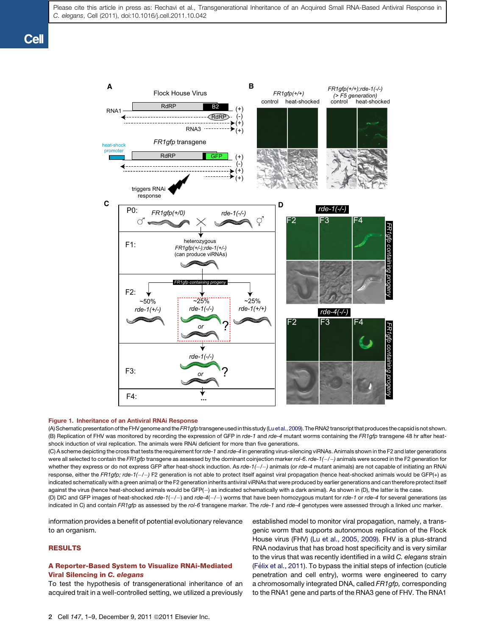<span id="page-1-0"></span>

#### Figure 1. Inheritance of an Antiviral RNAi Response

(A) Schematic presentation of the FHV genome and the*FR1gfp*transgene used in this study [\(Lu et al., 2009\)](#page-8-0). The RNA2 transcript that produces the capsid is not shown. (B) Replication of FHV was monitored by recording the expression of GFP in *rde-1* and *rde-4* mutant worms containing the *FR1gfp* transgene 48 hr after heatshock induction of viral replication. The animals were RNAi deficient for more than five generations.

(C) A scheme depicting the cross that tests the requirement for *rde-1* and *rde-4* in generating virus-silencing viRNAs. Animals shown in the F2 and later generations were all selected to contain the *FR1gfp* transgene as assessed by the dominant coinjection marker *rol-6*. *rde-1(/)* animals were scored in the F2 generation for whether they express or do not express GFP after heat-shock induction. As *rde-1(/)* animals (or *rde-4* mutant animals) are not capable of initiating an RNAi response, either the FR1gfp; rde-1(-/-) F2 generation is not able to protect itself against viral propagation (hence heat-shocked animals would be GFP(+) as indicated schematically with a green animal) or the F2 generation inherits antiviral viRNAs that were produced by earlier generations and can therefore protect itself against the virus (hence heat-shocked animals would be GFP(-) as indicated schematically with a dark animal). As shown in (D), the latter is the case.

(D) DIC and GFP images of heat-shocked *rde-1*(*/*) and *rde-4*(*/*) worms that have been homozygous mutant for *rde-1* or *rde-4* for several generations (as indicated in C) and contain *FR1gfp* as assessed by the *rol-6* transgene marker. The *rde-1* and *rde-4* genotypes were assessed through a linked *unc* marker.

information provides a benefit of potential evolutionary relevance to an organism.

## RESULTS

## A Reporter-Based System to Visualize RNAi-Mediated Viral Silencing in C. elegans

To test the hypothesis of transgenerational inheritance of an acquired trait in a well-controlled setting, we utilized a previously established model to monitor viral propagation, namely, a transgenic worm that supports autonomous replication of the Flock House virus (FHV) ([Lu et al., 2005, 2009\)](#page-8-0). FHV is a plus-strand RNA nodavirus that has broad host specificity and is very similar to the virus that was recently identified in a wild *C. elegans* strain (Fé[lix et al., 2011\)](#page-7-0). To bypass the initial steps of infection (cuticle penetration and cell entry), worms were engineered to carry a chromosomally integrated DNA, called *FR1gfp,* corresponding to the RNA1 gene and parts of the RNA3 gene of FHV. The RNA1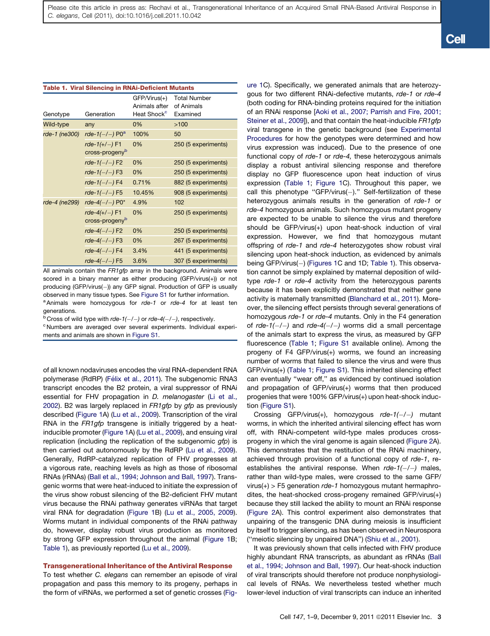| <b>Table 1. Viral Silencing in RNAi-Deficient Mutants</b> |                                                |                                                            |                                               |  |  |
|-----------------------------------------------------------|------------------------------------------------|------------------------------------------------------------|-----------------------------------------------|--|--|
| Genotype                                                  | Generation                                     | $GFP/Virus(+)$<br>Animals after<br>Heat Shock <sup>c</sup> | <b>Total Number</b><br>of Animals<br>Examined |  |  |
| Wild-type                                                 | any                                            | 0%                                                         | >100                                          |  |  |
| rde-1 (ne300)                                             | rde- $1(-/-)$ P0 <sup>a</sup>                  | 100%                                                       | 50                                            |  |  |
|                                                           | rde- $1(+/-)$ F1<br>cross-progeny <sup>b</sup> | 0%                                                         | 250 (5 experiments)                           |  |  |
|                                                           | rde- $1(-/-)$ F2                               | 0%                                                         | 250 (5 experiments)                           |  |  |
|                                                           | $rde-1(-/-)$ F3                                | 0%                                                         | 250 (5 experiments)                           |  |  |
|                                                           | rde- $1(-/-)$ F4                               | 0.71%                                                      | 882 (5 experiments)                           |  |  |
|                                                           | rde- $1(-/-)$ F5                               | 10.45%                                                     | 908 (5 experiments)                           |  |  |
| rde-4 (ne299)                                             | rde-4 $(-/-)$ P0*                              | 4.9%                                                       | 102                                           |  |  |
|                                                           | $rde-4(+/-)$ F1<br>cross-progeny <sup>b</sup>  | 0%                                                         | 250 (5 experiments)                           |  |  |
|                                                           | rde-4 $(-/-)$ F2                               | 0%                                                         | 250 (5 experiments)                           |  |  |
|                                                           | $rde-4(-/-)$ F3                                | 0%                                                         | 267 (5 experiments)                           |  |  |
|                                                           | $rde-4(-/-)$ F4                                | 3.4%                                                       | 441 (5 experiments)                           |  |  |
|                                                           | $rde-4(-/-)$ F5                                | 3.6%                                                       | 307 (5 experiments)                           |  |  |

All animals contain the *FR1gfp* array in the background. Animals were scored in a binary manner as either producing (GFP/virus(*+*)) or not producing (GFP/virus(-)) any GFP signal. Production of GFP is usually observed in many tissue types. See Figure S1 for further information.

<sup>a</sup> Animals were homozygous for *rde-1* or *rde-4* for at least ten generations.

<sup>b</sup> Cross of wild type with *rde-1(-/-)* or *rde-4(-/-)*, respectively.<br><sup>c</sup> Numbers are averaged over several experiments. Individual experiments and animals are shown in Figure S1.

of all known nodaviruses encodes the viral RNA-dependent RNA polymerase (RdRP) (Fé[lix et al., 2011\)](#page-7-0). The subgenomic RNA3 transcript encodes the B2 protein, a viral suppressor of RNAi essential for FHV propagation in *D. melanogaster* [\(Li et al.,](#page-8-0) [2002\)](#page-8-0). B2 was largely replaced in *FR1gfp* by *gfp* as previously described ([Figure 1A](#page-1-0)) [\(Lu et al., 2009](#page-8-0)). Transcription of the viral RNA in the *FR1gfp* transgene is initially triggered by a heatinducible promoter [\(Figure 1](#page-1-0)A) [\(Lu et al., 2009\)](#page-8-0), and ensuing viral replication (including the replication of the subgenomic *gfp*) is then carried out autonomously by the RdRP ([Lu et al., 2009\)](#page-8-0). Generally, RdRP-catalyzed replication of FHV progresses at a vigorous rate, reaching levels as high as those of ribosomal RNAs (rRNAs) [\(Ball et al., 1994; Johnson and Ball, 1997](#page-7-0)). Transgenic worms that were heat-induced to initiate the expression of the virus show robust silencing of the B2-deficient FHV mutant virus because the RNAi pathway generates viRNAs that target viral RNA for degradation ([Figure 1B](#page-1-0)) ([Lu et al., 2005, 2009\)](#page-8-0). Worms mutant in individual components of the RNAi pathway do, however, display robust virus production as monitored by strong GFP expression throughout the animal ([Figure 1B](#page-1-0); Table 1), as previously reported ([Lu et al., 2009\)](#page-8-0).

## Transgenerational Inheritance of the Antiviral Response

To test whether *C. elegans* can remember an episode of viral propagation and pass this memory to its progeny, perhaps in the form of viRNAs, we performed a set of genetic crosses [\(Fig-](#page-1-0) [ure 1](#page-1-0)C). Specifically, we generated animals that are heterozygous for two different RNAi-defective mutants, *rde-1* or *rde-4* (both coding for RNA-binding proteins required for the initiation of an RNAi response [[Aoki et al., 2007; Parrish and Fire, 2001;](#page-7-0) [Steiner et al., 2009](#page-7-0)]), and that contain the heat-inducible *FR1gfp* viral transgene in the genetic background (see [Experimental](#page-6-0) [Procedures](#page-6-0) for how the genotypes were determined and how virus expression was induced). Due to the presence of one functional copy of *rde-1* or *rde-4,* these heterozygous animals display a robust antiviral silencing response and therefore display no GFP fluorescence upon heat induction of virus expression (Table 1; [Figure 1](#page-1-0)C). Throughout this paper, we call this phenotype "GFP/virus( $-$ )." Self-fertilization of these heterozygous animals results in the generation of *rde-1* or *rde-4* homozygous animals. Such homozygous mutant progeny are expected to be unable to silence the virus and therefore should be GFP/virus(+) upon heat-shock induction of viral expression. However, we find that homozygous mutant offspring of *rde-1* and *rde-4* heterozygotes show robust viral silencing upon heat-shock induction, as evidenced by animals being GFP/virus(-) ([Figures 1C](#page-1-0) and 1D; Table 1). This observation cannot be simply explained by maternal deposition of wildtype *rde-1* or *rde-4* activity from the heterozygous parents because it has been explicitly demonstrated that neither gene activity is maternally transmitted ([Blanchard et al., 2011](#page-7-0)). Moreover, the silencing effect persists through several generations of homozygous *rde-1* or *rde-4* mutants. Only in the F4 generation of *rde-1(/)* and *rde-4(/)* worms did a small percentage of the animals start to express the virus, as measured by GFP fluorescence (Table 1; Figure S1 available online). Among the progeny of F4 GFP/virus(+) worms, we found an increasing number of worms that failed to silence the virus and were thus GFP/virus(+) (Table 1; Figure S1). This inherited silencing effect can eventually ''wear off,'' as evidenced by continued isolation and propagation of GFP/virus(+) worms that then produced progenies that were 100% GFP/virus(+) upon heat-shock induction (Figure S1).

Crossing GFP/virus(+), homozygous *rde-1(/)* mutant worms, in which the inherited antiviral silencing effect has worn off, with RNAi-competent wild-type males produces crossprogeny in which the viral genome is again silenced ([Figure 2](#page-3-0)A). This demonstrates that the restitution of the RNAi machinery, achieved through provision of a functional copy of *rde-1*, reestablishes the antiviral response. When *rde-1(/)* males, rather than wild-type males, were crossed to the same GFP/ virus(+) > F5 generation *rde-1* homozygous mutant hermaphrodites, the heat-shocked cross-progeny remained GFP/virus(+) because they still lacked the ability to mount an RNAi response [\(Figure 2](#page-3-0)A). This control experiment also demonstrates that unpairing of the transgenic DNA during meiosis is insufficient by itself to trigger silencing, as has been observed in Neurospora (''meiotic silencing by unpaired DNA'') ([Shiu et al., 2001\)](#page-8-0).

It was previously shown that cells infected with FHV produce highly abundant RNA transcripts, as abundant as rRNAs [\(Ball](#page-7-0) [et al., 1994; Johnson and Ball, 1997](#page-7-0)). Our heat-shock induction of viral transcripts should therefore not produce nonphysiological levels of RNAs. We nevertheless tested whether much lower-level induction of viral transcripts can induce an inherited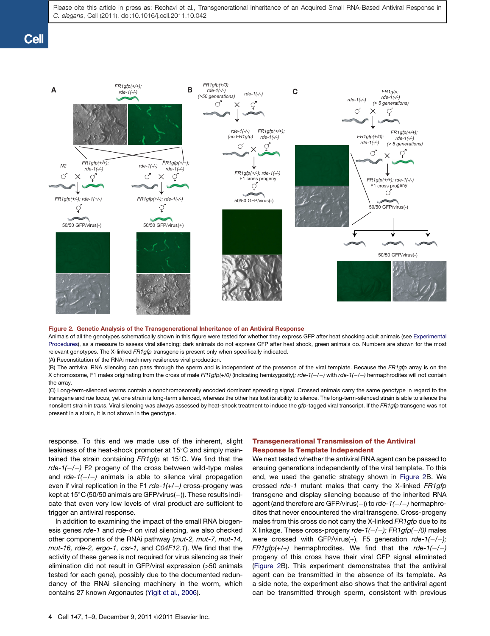<span id="page-3-0"></span>

#### Figure 2. Genetic Analysis of the Transgenerational Inheritance of an Antiviral Response

Animals of all the genotypes schematically shown in this figure were tested for whether they express GFP after heat shocking adult animals (see [Experimental](#page-6-0) [Procedures\)](#page-6-0), as a measure to assess viral silencing; dark animals do not express GFP after heat shock, green animals do. Numbers are shown for the most relevant genotypes. The X-linked *FR1gfp* transgene is present only when specifically indicated.

(A) Reconstitution of the RNAi machinery resilences viral production.

(B) The antiviral RNA silencing can pass through the sperm and is independent of the presence of the viral template. Because the *FR1gfp* array is on the X chromosome, F1 males originating from the cross of male *FR1gfp(+/0)* (indicating hemizygosity)*; rde-1(/)* with *rde-1(/)* hermaphrodites will not contain the array.

(C) Long-term-silenced worms contain a nonchromosomally encoded dominant spreading signal. Crossed animals carry the same genotype in regard to the transgene and *rde* locus, yet one strain is long-term silenced, whereas the other has lost its ability to silence. The long-term-silenced strain is able to silence the nonsilent strain in *trans*. Viral silencing was always assessed by heat-shock treatment to induce the *gfp-*tagged viral transcript. If the *FR1gfp* transgene was not present in a strain, it is not shown in the genotype.

response. To this end we made use of the inherent, slight leakiness of the heat-shock promoter at  $15^{\circ}$ C and simply maintained the strain containing *FR1gfp* at 15°C. We find that the *rde-1(/)* F2 progeny of the cross between wild-type males and *rde-1(/)* animals is able to silence viral propagation even if viral replication in the F1 *rde-1(+/)* cross-progeny was kept at 15 $\degree$ C (50/50 animals are GFP/virus(-)). These results indicate that even very low levels of viral product are sufficient to trigger an antiviral response.

In addition to examining the impact of the small RNA biogenesis genes *rde-1* and *rde-4* on viral silencing, we also checked other components of the RNAi pathway (*mut-2, mut-7, mut-14, mut-16, rde-2, ergo-1, csr-1,* and *C04F12.1*). We find that the activity of these genes is not required for virus silencing as their elimination did not result in GFP/viral expression (>50 animals tested for each gene), possibly due to the documented redundancy of the RNAi silencing machinery in the worm, which contains 27 known Argonautes [\(Yigit et al., 2006](#page-8-0)).

# Transgenerational Transmission of the Antiviral Response Is Template Independent

We next tested whether the antiviral RNA agent can be passed to ensuing generations independently of the viral template. To this end, we used the genetic strategy shown in Figure 2B. We crossed *rde-1* mutant males that carry the X-linked *FR1gfp* transgene and display silencing because of the inherited RNA agent (and therefore are GFP/virus(-)) to *rde-1(-/-)* hermaphrodites that never encountered the viral transgene. Cross-progeny males from this cross do not carry the X-linked *FR1gfp* due to its X linkage. These cross-progeny *rde-1(/); FR1gfp(/0)* males were crossed with GFP/virus(+), F5 generation *rde-1(/); FR1gfp(+/+)* hermaphrodites. We find that the *rde-1(/)* progeny of this cross have their viral GFP signal eliminated (Figure 2B). This experiment demonstrates that the antiviral agent can be transmitted in the absence of its template. As a side note, the experiment also shows that the antiviral agent can be transmitted through sperm, consistent with previous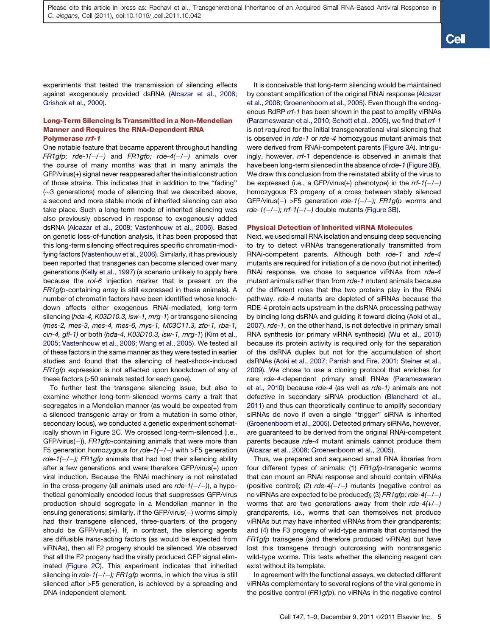experiments that tested the transmission of silencing effects against exogenously provided dsRNA [\(Alcazar et al., 2008;](#page-7-0) [Grishok et al., 2000\)](#page-7-0).

## Long-Term Silencing Is Transmitted in a Non-Mendelian Manner and Requires the RNA-Dependent RNA Polymerase rrf-1

One notable feature that became apparent throughout handling *FR1gfp; rde-1(/)* and *FR1gfp; rde-4(/)* animals over the course of many months was that in many animals the GFP/virus(+) signal never reappeared after the initial construction of those strains. This indicates that in addition to the ''fading''  $(\sim]3$  generations) mode of silencing that we described above, a second and more stable mode of inherited silencing can also take place. Such a long-term mode of inherited silencing was also previously observed in response to exogenously added dsRNA [\(Alcazar et al., 2008; Vastenhouw et al., 2006\)](#page-7-0). Based on genetic loss-of-function analysis, it has been proposed that this long-term silencing effect requires specific chromatin-modifying factors ([Vastenhouw et al., 2006\)](#page-8-0). Similarly, it has previously been reported that transgenes can become silenced over many generations ([Kelly et al., 1997](#page-8-0)) (a scenario unlikely to apply here because the *rol-6* injection marker that is present on the *FR1gfp-*containing array is still expressed in these animals). A number of chromatin factors have been identified whose knockdown affects either exogenous RNAi-mediated, long-term silencing (*hda-4, K03D10.3, isw-1, mrg-1*) or transgene silencing (*mes-2, mes-3, mes-4, mes-6, mys-1, M03C11.3, zfp-1, rba-1, cin-4, gfl-1)* or both (*hda-4, K03D10.3, isw-1, mrg-1*) [\(Kim et al.,](#page-8-0) [2005; Vastenhouw et al., 2006; Wang et al., 2005\)](#page-8-0). We tested all of these factors in the same manner as they were tested in earlier studies and found that the silencing of heat-shock-induced *FR1gfp* expression is not affected upon knockdown of any of these factors (>50 animals tested for each gene).

To further test the transgene silencing issue, but also to examine whether long-term-silenced worms carry a trait that segregates in a Mendelian manner (as would be expected from a silenced transgenic array or from a mutation in some other, secondary locus), we conducted a genetic experiment schematically shown in [Figure 2C](#page-3-0). We crossed long-term-silenced (i.e., GFP/virus(-)), *FR1gfp*-containing animals that were more than F5 generation homozygous for *rde-1(/)* with >F5 generation *rde-1(/); FR1gfp* animals that had lost their silencing ability after a few generations and were therefore GFP/virus(+) upon viral induction. Because the RNAi machinery is not reinstated in the cross-progeny (all animals used are *rde-1(/)*), a hypothetical genomically encoded locus that suppresses GFP/virus production should segregate in a Mendelian manner in the ensuing generations; similarly, if the GFP/virus(-) worms simply had their transgene silenced, three-quarters of the progeny should be GFP/virus(+). If, in contrast, the silencing agents are diffusible *trans-*acting factors (as would be expected from viRNAs), then all F2 progeny should be silenced. We observed that all the F2 progeny had the virally produced GFP signal eliminated ([Figure 2](#page-3-0)C). This experiment indicates that inherited silencing in *rde-1(/); FR1gfp* worms, in which the virus is still silenced after >F5 generation, is achieved by a spreading and DNA-independent element.

It is conceivable that long-term silencing would be maintained by constant amplification of the original RNAi response [\(Alcazar](#page-7-0) [et al., 2008; Groenenboom et al., 2005\)](#page-7-0). Even though the endogenous RdRP *rrf-1* has been shown in the past to amplify viRNAs [\(Parameswaran et al., 2010; Schott et al., 2005](#page-8-0)), we find that *rrf-1* is not required for the initial transgenerational viral silencing that is observed in *rde-1* or *rde-4* homozygous mutant animals that were derived from RNAi-competent parents [\(Figure 3A](#page-5-0)). Intriguingly, however, *rrf-1* dependence is observed in animals that have been long-term silenced in the absence of *rde-1* [\(Figure 3B](#page-5-0)). We draw this conclusion from the reinstated ability of the virus to be expressed (i.e., a GFP/virus(+) phenotype) in the *rrf-1(/)* homozygous F3 progeny of a cross between stably silenced GFP/virus() >F5 generation *rde-1(/); FR1gfp* worms and *rde-1(/); rrf-1(/)* double mutants ([Figure 3B](#page-5-0)).

## Physical Detection of Inherited viRNA Molecules

Next, we used small RNA isolation and ensuing deep sequencing to try to detect viRNAs transgenerationally transmitted from RNAi-competent parents. Although both *rde-1* and *rde-4* mutants are required for initiation of a de novo (but not inherited) RNAi response, we chose to sequence viRNAs from *rde-4* mutant animals rather than from *rde-1* mutant animals because of the different roles that the two proteins play in the RNAi pathway. *rde-4* mutants are depleted of siRNAs because the RDE-4 protein acts upstream in the dsRNA processing pathway by binding long dsRNA and guiding it toward dicing ([Aoki et al.,](#page-7-0) [2007\)](#page-7-0). *rde-1*, on the other hand, is not defective in primary small RNA synthesis (or primary viRNA synthesis) [\(Wu et al., 2010](#page-8-0)) because its protein activity is required only for the separation of the dsRNA duplex but not for the accumulation of short dsRNAs ([Aoki et al., 2007; Parrish and Fire, 2001; Steiner et al.,](#page-7-0) [2009\)](#page-7-0). We chose to use a cloning protocol that enriches for rare *rde-4*-dependent primary small RNAs ([Parameswaran](#page-8-0) [et al., 2010\)](#page-8-0) because *rde-4* (as well as *rde-1)* animals are not defective in secondary siRNA production [\(Blanchard et al.,](#page-7-0) [2011\)](#page-7-0) and thus can theoretically continue to amplify secondary siRNAs de novo if even a single "trigger" siRNA is inherited [\(Groenenboom et al., 2005\)](#page-8-0). Detected primary siRNAs, however, are guaranteed to be derived from the original RNAi-competent parents because *rde-4* mutant animals cannot produce them [\(Alcazar et al., 2008; Groenenboom et al., 2005](#page-7-0)).

Thus, we prepared and sequenced small RNA libraries from four different types of animals: (1) *FR1gfp*-transgenic worms that can mount an RNAi response and should contain viRNAs (positive control); (2) *rde-4(/)* mutants (negative control as no viRNAs are expected to be produced); (3) *FR1gfp; rde-4(/)* worms that are two generations away from their *rde-4(+/)* grandparents, i.e., worms that can themselves not produce viRNAs but may have inherited viRNAs from their grandparents; and (4) the F3 progeny of wild-type animals that contained the *FR1gfp* transgene (and therefore produced viRNAs) but have lost this transgene through outcrossing with nontransgenic wild-type worms. This tests whether the silencing reagent can exist without its template.

In agreement with the functional assays, we detected different viRNAs complementary to several regions of the viral genome in the positive control (*FR1gfp*), no viRNAs in the negative control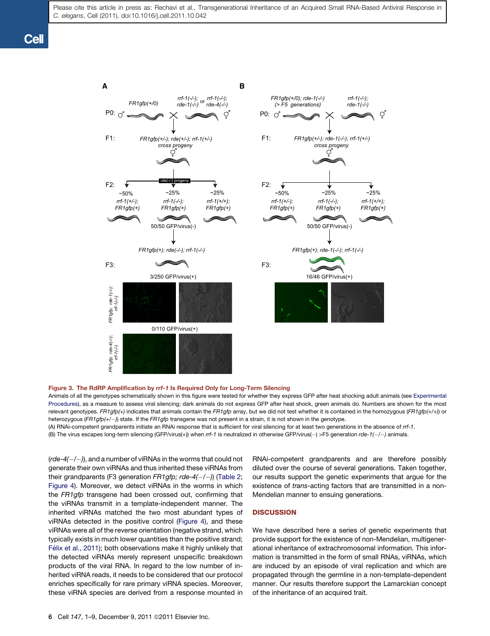<span id="page-5-0"></span>

#### Figure 3. The RdRP Amplification by rrf-1 Is Required Only for Long-Term Silencing

Animals of all the genotypes schematically shown in this figure were tested for whether they express GFP after heat shocking adult animals (see [Experimental](#page-6-0) [Procedures\)](#page-6-0), as a measure to assess viral silencing; dark animals do not express GFP after heat shock, green animals do. Numbers are shown for the most relevant genotypes. *FR1gfp(+)* indicates that animals contain the *FR1gfp* array, but we did not test whether it is contained in the homozygous (*FR1gfp(+/+)*) or heterozygous (*FR1gfp(+/)*) state. If the *FR1gfp* transgene was not present in a strain, it is not shown in the genotype.

(A) RNAi-competent grandparents initiate an RNAi response that is sufficient for viral silencing for at least two generations in the absence of *rrf-1*.

(B) The virus escapes long-term silencing (GFP/virus(+)) when rrf-1 is neutralized in otherwise GFP/virus(-) >F5 generation rde-1(-/-) animals.

(*rde-4(/)*), and a number of viRNAs in the worms that could not generate their own viRNAs and thus inherited these viRNAs from their grandparents (F3 generation *FR1gfp; rde-4(/)*) [\(Table 2;](#page-6-0) [Figure 4](#page-6-0)). Moreover, we detect viRNAs in the worms in which the *FR1gfp* transgene had been crossed out, confirming that the viRNAs transmit in a template-independent manner. The inherited viRNAs matched the two most abundant types of viRNAs detected in the positive control ([Figure 4\)](#page-6-0), and these viRNAs were all of the reverse orientation (negative strand, which typically exists in much lower quantities than the positive strand; Fé[lix et al., 2011\)](#page-7-0); both observations make it highly unlikely that the detected viRNAs merely represent unspecific breakdown products of the viral RNA. In regard to the low number of inherited viRNA reads, it needs to be considered that our protocol enriches specifically for rare primary viRNA species. Moreover, these viRNA species are derived from a response mounted in

RNAi-competent grandparents and are therefore possibly diluted over the course of several generations. Taken together, our results support the genetic experiments that argue for the existence of *trans-*acting factors that are transmitted in a non-Mendelian manner to ensuing generations.

## **DISCUSSION**

We have described here a series of genetic experiments that provide support for the existence of non-Mendelian, multigenerational inheritance of extrachromosomal information. This information is transmitted in the form of small RNAs, viRNAs, which are induced by an episode of viral replication and which are propagated through the germline in a non-template-dependent manner. Our results therefore support the Lamarckian concept of the inheritance of an acquired trait.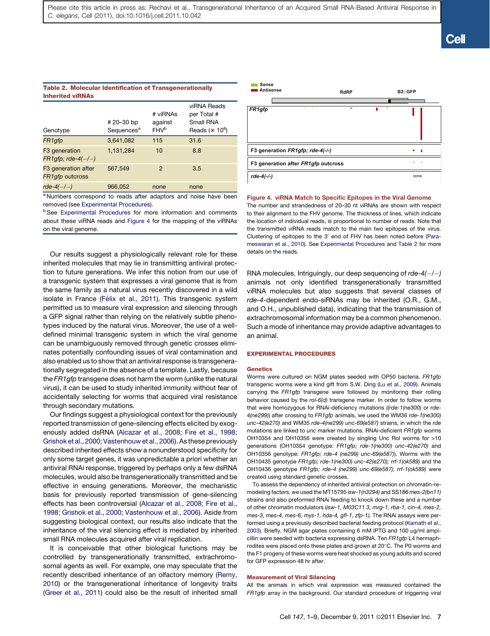## <span id="page-6-0"></span>Table 2. Molecular Identification of Transgenerationally Inherited viRNAs

| Genotype                                              | # 20-30 bp<br>Sequences <sup>a</sup> | # viRNAs<br>against<br><b>FHV<sup>b</sup></b> | viRNA Reads<br>per Total #<br>Small RNA<br>Reads $(x 10^6)$ |
|-------------------------------------------------------|--------------------------------------|-----------------------------------------------|-------------------------------------------------------------|
| FR1gfp                                                | 3,641,082                            | 115                                           | 31.6                                                        |
| F <sub>3</sub> generation<br>$FR1gfp$ ; rde-4 $(-/-)$ | 1,131,284                            | 10                                            | 8.8                                                         |
| F3 generation after<br>FR1gfp outcross                | 567,549                              | $\mathcal{P}$                                 | 3.5                                                         |
| $rde-4(-/-)$                                          | 966,052                              | none                                          | none                                                        |

<sup>a</sup> Numbers correspond to reads after adaptors and noise have been removed (see Experimental Procedures).

**b** See Experimental Procedures for more information and comments about these viRNA reads and Figure 4 for the mapping of the viRNAs on the viral genome.

Our results suggest a physiologically relevant role for these inherited molecules that may lie in transmitting antiviral protection to future generations. We infer this notion from our use of a transgenic system that expresses a viral genome that is from the same family as a natural virus recently discovered in a wild isolate in France (Fé[lix et al., 2011\)](#page-7-0). This transgenic system permitted us to measure viral expression and silencing through a GFP signal rather than relying on the relatively subtle phenotypes induced by the natural virus. Moreover, the use of a welldefined minimal transgenic system in which the viral genome can be unambiguously removed through genetic crosses eliminates potentially confounding issues of viral contamination and also enabled us to show that an antiviral response is transgenerationally segregated in the absence of a template. Lastly, because the *FR1gfp* transgene does not harm the worm (unlike the natural virus), it can be used to study inherited immunity without fear of accidentally selecting for worms that acquired viral resistance through secondary mutations.

Our findings suggest a physiological context for the previously reported transmission of gene-silencing effects elicited by exogenously added dsRNA [\(Alcazar et al., 2008; Fire et al., 1998;](#page-7-0) [Grishok et al., 2000; Vastenhouw et al., 2006\)](#page-7-0). As these previously described inherited effects show a nonunderstood specificity for only some target genes, it was unpredictable a priori whether an antiviral RNAi response, triggered by perhaps only a few dsRNA molecules, would also be transgenerationally transmitted and be effective in ensuing generations. Moreover, the mechanistic basis for previously reported transmission of gene-silencing effects has been controversial ([Alcazar et al., 2008; Fire et al.,](#page-7-0) [1998; Grishok et al., 2000; Vastenhouw et al., 2006\)](#page-7-0). Aside from suggesting biological context, our results also indicate that the inheritance of the viral silencing effect is mediated by inherited small RNA molecules acquired after viral replication.

It is conceivable that other biological functions may be controlled by transgenerationally transmitted, extrachromosomal agents as well. For example, one may speculate that the recently described inheritance of an olfactory memory ([Remy,](#page-8-0) [2010\)](#page-8-0) or the transgenerational inheritance of longevity traits [\(Greer et al., 2011\)](#page-8-0) could also be the result of inherited small



#### Figure 4. viRNA Match to Specific Epitopes in the Viral Genome

The number and strandedness of 20–30 nt viRNAs are shown with respect to their alignment to the FHV genome. The thickness of lines, which indicate the location of individual reads, is proportional to number of reads. Note that the transmitted viRNA reads match to the main two epitopes of the virus. Clustering of epitopes to the 3' end of FHV has been noted before [\(Para](#page-8-0)[meswaran et al., 2010](#page-8-0)). See Experimental Procedures and Table 2 for more details on the reads.

RNA molecules. Intriguingly, our deep sequencing of *rde-4(/)* animals not only identified transgenerationally transmitted viRNA molecules but also suggests that several classes of *rde-4*-dependent endo-siRNAs may be inherited (O.R., G.M., and O.H., unpublished data), indicating that the transmission of extrachromosomal information may be a common phenomenon. Such a mode of inheritance may provide adaptive advantages to an animal.

## EXPERIMENTAL PROCEDURES

#### **Genetics**

Worms were cultured on NGM plates seeded with OP50 bacteria. *FR1gfp* transgenic worms were a kind gift from S.W. Ding ([Lu et al., 2009](#page-8-0)). Animals carrying the *FR1gfp* transgene were followed by monitoring their rolling behavior caused by the *rol-6(d)* transgene marker. In order to follow worms that were homozygous for RNAi-deficiency mutations *((rde-1(ne300)* or *rde-4(ne299)*) after crossing to *FR1gfp* animals, we used the WM36 *rde-1(ne300) unc-42(e270)* and WM35 *rde-4(ne299) unc-69(e587)* strains, in which the *rde* mutations are linked to *unc* marker mutations. RNAi-deficient *FR1gfp* worms OH10354 and OH10356 were created by singling Unc Rol worms for >10 generations (OH10354 genotype: *FR1gfp; rde-1(ne300) unc-42(e270)* and OH10356 genotype: *FR1gfp; rde-4 (ne299) unc-69(e587)*). Worms with the OH10435 genotype *FR1gfp; rde-1(ne300) unc-42(e270); rrf-1(ok589)* and the OH10436 genotype *FR1gfp; rde-4 (ne299) unc-69(e587); rrf-1(ok589)* were created using standard genetic crosses.

To assess the dependency of inherited antiviral protection on chromatin-remodeling factors, we used the MT15795 *isw-1(n3294)* and SS186 *mes-2(bn11)* strains and also preformed RNAi feeding to knock down these and a number of other chromatin modulators (*isw-1, M03C11.3, mrg-1, rba-1, cin-4, mes-2, mes-3, mes-4, mes-6, mys-1, hda-4, gfl-1, zfp-1)*. The RNAi assays were performed using a previously described bacterial feeding protocol ([Kamath et al.,](#page-8-0) [2003\)](#page-8-0). Briefly, NGM agar plates containing 6 mM IPTG and 100 µg/ml ampicillin were seeded with bacteria expressing dsRNA. Ten *FR1gfp* L4 hermaphrodites were placed onto these plates and grown at 20°C. The P0 worms and the F1 progeny of these worms were heat shocked as young adults and scored for GFP expression 48 hr after.

## Measurement of Viral Silencing

All the animals in which viral expression was measured contained the *FR1gfp* array in the background. Our standard procedure of triggering viral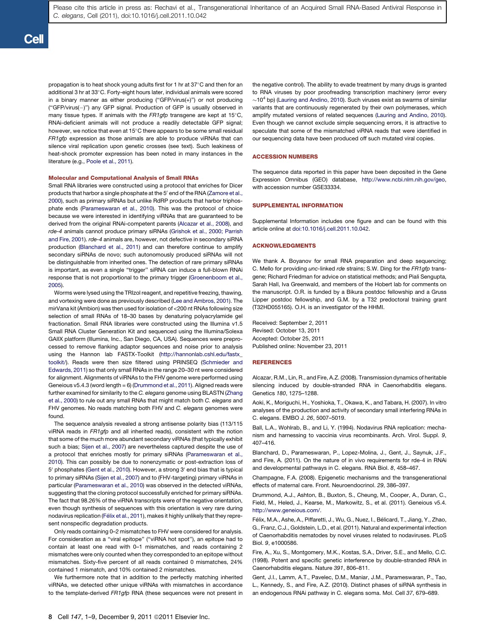<span id="page-7-0"></span>propagation is to heat shock young adults first for 1 hr at 37 $\mathrm{^{\circ}C}$  and then for an additional 3 hr at 33°C. Forty-eight hours later, individual animals were scored in a binary manner as either producing (''GFP/virus(+)'') or not producing ("GFP/virus(-)") any GFP signal. Production of GFP is usually observed in many tissue types. If animals with the FR1gfp transgene are kept at 15°C, RNAi-deficient animals will not produce a readily detectable GFP signal; however, we notice that even at 15°C there appears to be some small residual *FR1gfp* expression as those animals are able to produce viRNAs that can silence viral replication upon genetic crosses (see text). Such leakiness of heat-shock promoter expression has been noted in many instances in the literature (e.g., [Poole et al., 2011\)](#page-8-0).

#### Molecular and Computational Analysis of Small RNAs

Small RNA libraries were constructed using a protocol that enriches for Dicer products that harbor a single phosphate at the 5' end of the RNA ([Zamore et al.,](#page-8-0) [2000](#page-8-0)), such as primary siRNAs but unlike RdRP products that harbor triphosphate ends [\(Parameswaran et al., 2010\)](#page-8-0). This was the protocol of choice because we were interested in identifying viRNAs that are guaranteed to be derived from the original RNAi-competent parents (Alcazar et al., 2008), and *rde-4* animals cannot produce primary siRNAs ([Grishok et al., 2000; Parrish](#page-8-0) [and Fire, 2001\)](#page-8-0). *rde-4* animals are, however, not defective in secondary siRNA production (Blanchard et al., 2011) and can therefore continue to amplify secondary siRNAs de novo; such autonomously produced siRNAs will not be distinguishable from inherited ones. The detection of rare primary siRNAs is important, as even a single ''trigger'' siRNA can induce a full-blown RNAi response that is not proportional to the primary trigger [\(Groenenboom et al.,](#page-8-0) [2005](#page-8-0)).

Worms were lysed using the TRIzol reagent, and repetitive freezing, thawing, and vortexing were done as previously described ([Lee and Ambros, 2001](#page-8-0)). The mirVana kit (Ambion) was then used for isolation of <200 nt RNAs following size selection of small RNAs of 18–30 bases by denaturing polyacrylamide gel fractionation. Small RNA libraries were constructed using the Illumina v1.5 Small RNA Cluster Generation Kit and sequenced using the Illumina/Solexa GAIIX platform (Illumina, Inc., San Diego, CA, USA). Sequences were preprocessed to remove flanking adaptor sequences and noise prior to analysis using the Hannon lab FASTX-Toolkit ([http://hannonlab.cshl.edu/fastx\\_](http://hannonlab.cshl.edu/fastx_toolkit/) [toolkit/](http://hannonlab.cshl.edu/fastx_toolkit/)). Reads were then size filtered using PRINSEQ [\(Schmieder and](#page-8-0) [Edwards, 2011](#page-8-0)) so that only small RNAs in the range 20–30 nt were considered for alignment. Alignments of viRNAs to the FHV genome were performed using Geneious v5.4.3 (word length = 6) (Drummond et al., 2011). Aligned reads were further examined for similarity to the *C. elegans* genome using BLASTN [\(Zhang](#page-8-0) [et al., 2000](#page-8-0)) to rule out any small RNAs that might match both *C. elegans* and FHV genomes. No reads matching both FHV and *C. elegans* genomes were found.

The sequence analysis revealed a strong antisense polarity bias (113/115 viRNA reads in *FR1gfp* and all inherited reads), consistent with the notion that some of the much more abundant secondary viRNAs (that typically exhibit such a bias; [Sijen et al., 2007](#page-8-0)) are nevertheless captured despite the use of a protocol that enriches mostly for primary siRNAs ([Parameswaran et al.,](#page-8-0) [2010](#page-8-0)). This can possibly be due to nonenzymatic or post-extraction loss of 5' phosphates (Gent et al., 2010). However, a strong 3' end bias that is typical to primary siRNAs [\(Sijen et al., 2007](#page-8-0)) and to (FHV-targeting) primary viRNAs in particular ([Parameswaran et al., 2010\)](#page-8-0) was observed in the detected viRNAs, suggesting that the cloning protocol successfully enriched for primary siRNAs. The fact that 98.26% of the viRNA transcripts were of the negative orientation, even though synthesis of sequences with this orientation is very rare during nodavirus replication (Félix et al., 2011), makes it highly unlikely that they represent nonspecific degradation products.

Only reads containing 0–2 mismatches to FHV were considered for analysis. For consideration as a ''viral epitope'' (''viRNA hot spot''), an epitope had to contain at least one read with 0–1 mismatches, and reads containing 2 mismatches were only counted when they corresponded to an epitope without mismatches. Sixty-five percent of all reads contained 0 mismatches, 24% contained 1 mismatch, and 10% contained 2 mismatches.

We furthermore note that in addition to the perfectly matching inherited viRNAs, we detected other unique viRNAs with mismatches in accordance to the template-derived *FR1gfp* RNA (these sequences were not present in

the negative control). The ability to evade treatment by many drugs is granted to RNA viruses by poor proofreading transcription machinery (error every  $\sim$ 10<sup>4</sup> bp) ([Lauring and Andino, 2010](#page-8-0)). Such viruses exist as swarms of similar variants that are continuously regenerated by their own polymerases, which amplify mutated versions of related sequences [\(Lauring and Andino, 2010](#page-8-0)). Even though we cannot exclude simple sequencing errors, it is attractive to speculate that some of the mismatched viRNA reads that were identified in our sequencing data have been produced off such mutated viral copies.

#### ACCESSION NUMBERS

The sequence data reported in this paper have been deposited in the Gene Expression Omnibus (GEO) database, [http://www.ncbi.nlm.nih.gov/geo,](http://www.ncbi.nlm.nih.gov/geo) with accession number GSE33334.

## SUPPLEMENTAL INFORMATION

Supplemental Information includes one figure and can be found with this article online at [doi:10.1016/j.cell.2011.10.042.](http://dx.doi.org/doi:10.1016/j.cell.2011.10.042)

## ACKNOWLEDGMENTS

We thank A. Boyanov for small RNA preparation and deep sequencing; C. Mello for providing *unc-*linked *rde* strains; S.W. Ding for the *FR1gfp* transgene; Richard Friedman for advice on statistical methods; and Piali Sengupta, Sarah Hall, Iva Greenwald, and members of the Hobert lab for comments on the manuscript. O.R. is funded by a Bikura postdoc fellowship and a Gruss Lipper postdoc fellowship, and G.M. by a T32 predoctoral training grant (T32HD055165). O.H. is an investigator of the HHMI.

Received: September 2, 2011 Revised: October 13, 2011 Accepted: October 25, 2011 Published online: November 23, 2011

## REFERENCES

Alcazar, R.M., Lin, R., and Fire, A.Z. (2008). Transmission dynamics of heritable silencing induced by double-stranded RNA in Caenorhabditis elegans. Genetics *180*, 1275–1288.

Aoki, K., Moriguchi, H., Yoshioka, T., Okawa, K., and Tabara, H. (2007). In vitro analyses of the production and activity of secondary small interfering RNAs in C. elegans. EMBO J. *26*, 5007–5019.

Ball, L.A., Wohlrab, B., and Li, Y. (1994). Nodavirus RNA replication: mechanism and harnessing to vaccinia virus recombinants. Arch. Virol. Suppl. *9*, 407–416.

Blanchard, D., Parameswaran, P., Lopez-Molina, J., Gent, J., Saynuk, J.F., and Fire, A. (2011). On the nature of in vivo requirements for rde-4 in RNAi and developmental pathways in C. elegans. RNA Biol. *8*, 458–467.

Champagne, F.A. (2008). Epigenetic mechanisms and the transgenerational effects of maternal care. Front. Neuroendocrinol. *29*, 386–397.

Drummond, A.J., Ashton, B., Buxton, S., Cheung, M., Cooper, A., Duran, C., Field, M., Heled, J., Kearse, M., Markowitz, S., et al. (2011). Geneious v5.4. <http://www.geneious.com/>.

Félix, M.A., Ashe, A., Piffaretti, J., Wu, G., Nuez, I., Bélicard, T., Jiang, Y., Zhao, G., Franz, C.J., Goldstein, L.D., et al. (2011). Natural and experimental infection of Caenorhabditis nematodes by novel viruses related to nodaviruses. PLoS Biol. *9*, e1000586.

Fire, A., Xu, S., Montgomery, M.K., Kostas, S.A., Driver, S.E., and Mello, C.C. (1998). Potent and specific genetic interference by double-stranded RNA in Caenorhabditis elegans. Nature *391*, 806–811.

Gent, J.I., Lamm, A.T., Pavelec, D.M., Maniar, J.M., Parameswaran, P., Tao, L., Kennedy, S., and Fire, A.Z. (2010). Distinct phases of siRNA synthesis in an endogenous RNAi pathway in C. elegans soma. Mol. Cell *37*, 679–689.